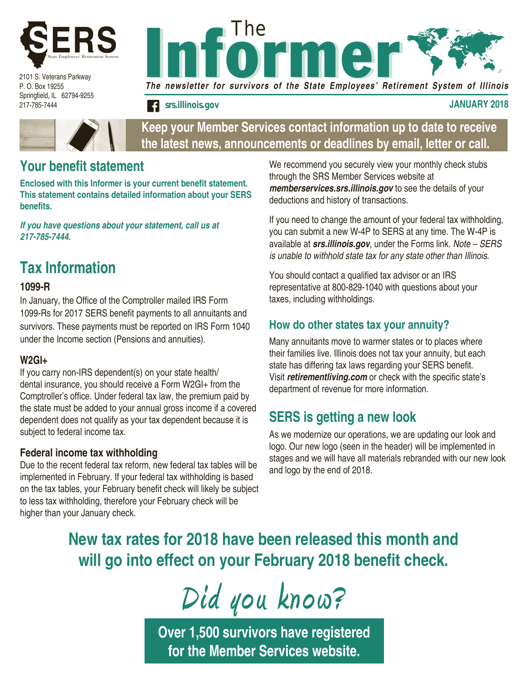

2101 S. Veterans Parkway P. O. Box 19255 Springfield, IL 62794-9255 217-785-7444



**f** srs.illinois.gov **JANUARY 2018** 



### **Keep your Member Services contact information up to date to receive the latest news, announcements or deadlines by email, letter or call.**

### **Your benefit statement**

**Enclosed with this Informer is your current benefit statement. This statement contains detailed information about your SERS benefits.** 

*If you have questions about your statement, call us at 217-785-7444.*

# **Tax Information**

#### **1099-R**

In January, the Office of the Comptroller mailed IRS Form 1099-Rs for 2017 SERS benefit payments to all annuitants and survivors. These payments must be reported on IRS Form 1040 under the Income section (Pensions and annuities).

#### **W2GI+**

If you carry non-IRS dependent(s) on your state health/ dental insurance, you should receive a Form W2GI+ from the Comptroller's office. Under federal tax law, the premium paid by the state must be added to your annual gross income if a covered dependent does not qualify as your tax dependent because it is subject to federal income tax.

#### **Federal income tax withholding**

Due to the recent federal tax reform, new federal tax tables will be implemented in February. If your federal tax withholding is based on the tax tables, your February benefit check will likely be subject to less tax withholding, therefore your February check will be higher than your January check.

We recommend you securely view your monthly check stubs through the SRS Member Services website at *memberservices.srs.illinois.gov* to see the details of your deductions and history of transactions.

If you need to change the amount of your federal tax withholding, you can submit a new W-4P to SERS at any time. The W-4P is available at *srs.illinois.gov*, under the Forms link. *Note – SERS is unable to withhold state tax for any state other than Illinois.*

You should contact a qualified tax advisor or an IRS representative at 800-829-1040 with questions about your taxes, including withholdings.

#### **How do other states tax your annuity?**

Many annuitants move to warmer states or to places where their families live. Illinois does not tax your annuity, but each state has differing tax laws regarding your SERS benefit. Visit *retirementliving.com* or check with the specific state's department of revenue for more information.

### **SERS is getting a new look**

As we modernize our operations, we are updating our look and logo. Our new logo (seen in the header) will be implemented in stages and we will have all materials rebranded with our new look and logo by the end of 2018.

# **New tax rates for 2018 have been released this month and will go into effect on your February 2018 benefit check.**

**Did you know?**

**Over 1,500 survivors have registered for the Member Services website.**